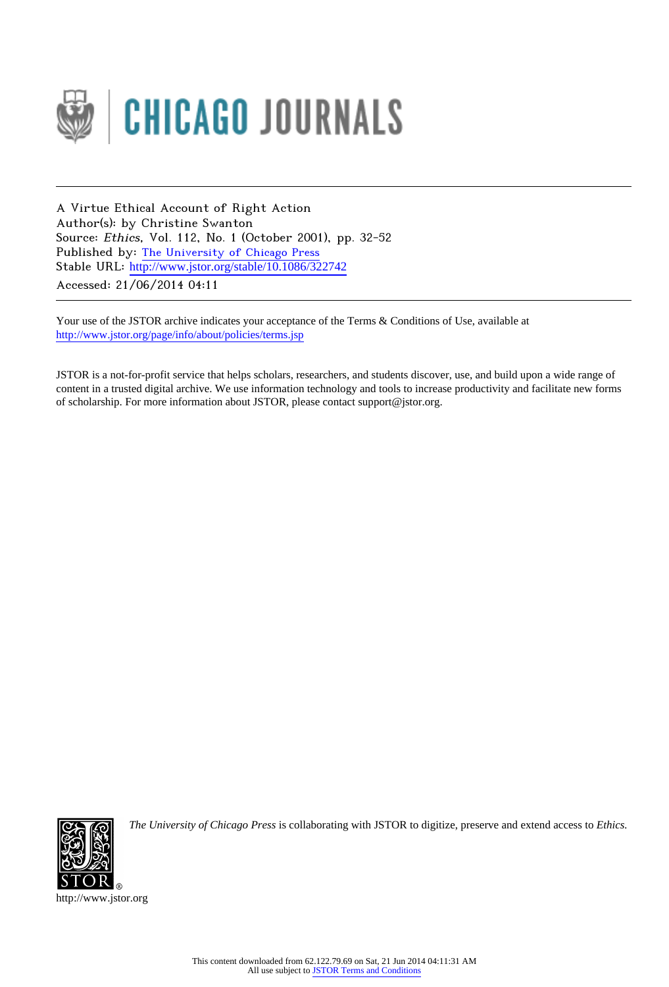

A Virtue Ethical Account of Right Action Author(s): by Christine Swanton Source: Ethics, Vol. 112, No. 1 (October 2001), pp. 32-52 Published by: [The University of Chicago Press](http://www.jstor.org/action/showPublisher?publisherCode=ucpress) Stable URL: http://www.jstor.org/stable/10.1086/322742 Accessed: 21/06/2014 04:11

Your use of the JSTOR archive indicates your acceptance of the Terms & Conditions of Use, available at <http://www.jstor.org/page/info/about/policies/terms.jsp>

JSTOR is a not-for-profit service that helps scholars, researchers, and students discover, use, and build upon a wide range of content in a trusted digital archive. We use information technology and tools to increase productivity and facilitate new forms of scholarship. For more information about JSTOR, please contact support@jstor.org.



*The University of Chicago Press* is collaborating with JSTOR to digitize, preserve and extend access to *Ethics.*

http://www.jstor.org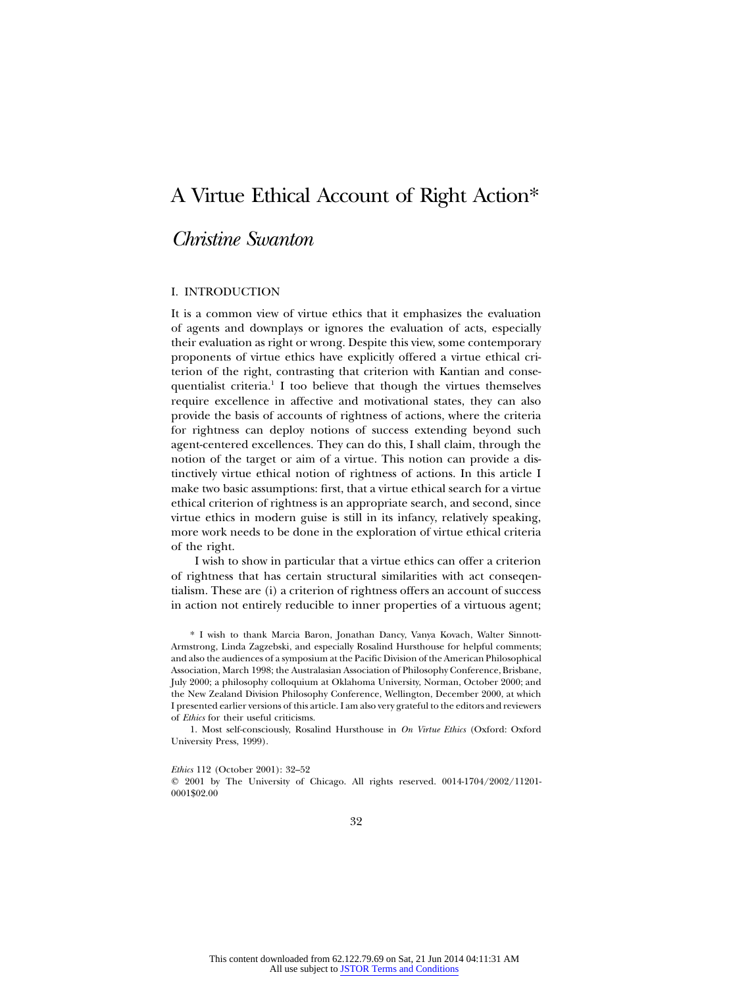# A Virtue Ethical Account of Right Action\*

# *Christine Swanton*

# I. INTRODUCTION

It is a common view of virtue ethics that it emphasizes the evaluation of agents and downplays or ignores the evaluation of acts, especially their evaluation as right or wrong. Despite this view, some contemporary proponents of virtue ethics have explicitly offered a virtue ethical criterion of the right, contrasting that criterion with Kantian and consequentialist criteria.<sup>1</sup> I too believe that though the virtues themselves require excellence in affective and motivational states, they can also provide the basis of accounts of rightness of actions, where the criteria for rightness can deploy notions of success extending beyond such agent-centered excellences. They can do this, I shall claim, through the notion of the target or aim of a virtue. This notion can provide a distinctively virtue ethical notion of rightness of actions. In this article I make two basic assumptions: first, that a virtue ethical search for a virtue ethical criterion of rightness is an appropriate search, and second, since virtue ethics in modern guise is still in its infancy, relatively speaking, more work needs to be done in the exploration of virtue ethical criteria of the right.

I wish to show in particular that a virtue ethics can offer a criterion of rightness that has certain structural similarities with act conseqentialism. These are (i) a criterion of rightness offers an account of success in action not entirely reducible to inner properties of a virtuous agent;

\* I wish to thank Marcia Baron, Jonathan Dancy, Vanya Kovach, Walter Sinnott-Armstrong, Linda Zagzebski, and especially Rosalind Hursthouse for helpful comments; and also the audiences of a symposium at the Pacific Division of the American Philosophical Association, March 1998; the Australasian Association of Philosophy Conference, Brisbane, July 2000; a philosophy colloquium at Oklahoma University, Norman, October 2000; and the New Zealand Division Philosophy Conference, Wellington, December 2000, at which I presented earlier versions of this article. I am also very grateful to the editors and reviewers of *Ethics* for their useful criticisms.

1. Most self-consciously, Rosalind Hursthouse in *On Virtue Ethics* (Oxford: Oxford University Press, 1999).

 2001 by The University of Chicago. All rights reserved. 0014-1704/2002/11201- 0001\$02.00

*Ethics* 112 (October 2001): 32–52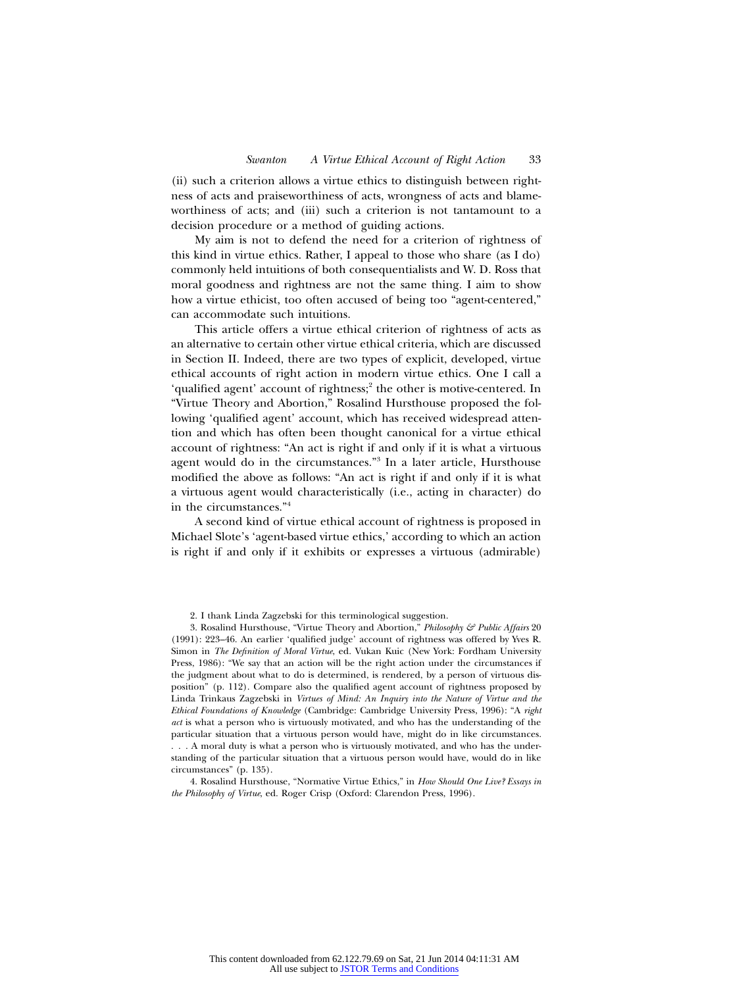(ii) such a criterion allows a virtue ethics to distinguish between rightness of acts and praiseworthiness of acts, wrongness of acts and blameworthiness of acts; and (iii) such a criterion is not tantamount to a decision procedure or a method of guiding actions.

My aim is not to defend the need for a criterion of rightness of this kind in virtue ethics. Rather, I appeal to those who share (as I do) commonly held intuitions of both consequentialists and W. D. Ross that moral goodness and rightness are not the same thing. I aim to show how a virtue ethicist, too often accused of being too "agent-centered," can accommodate such intuitions.

This article offers a virtue ethical criterion of rightness of acts as an alternative to certain other virtue ethical criteria, which are discussed in Section II. Indeed, there are two types of explicit, developed, virtue ethical accounts of right action in modern virtue ethics. One I call a 'qualified agent' account of rightness;<sup>2</sup> the other is motive-centered. In "Virtue Theory and Abortion," Rosalind Hursthouse proposed the following 'qualified agent' account, which has received widespread attention and which has often been thought canonical for a virtue ethical account of rightness: "An act is right if and only if it is what a virtuous agent would do in the circumstances."<sup>3</sup> In a later article, Hursthouse modified the above as follows: "An act is right if and only if it is what a virtuous agent would characteristically (i.e., acting in character) do in the circumstances."<sup>4</sup>

A second kind of virtue ethical account of rightness is proposed in Michael Slote's 'agent-based virtue ethics,' according to which an action is right if and only if it exhibits or expresses a virtuous (admirable)

2. I thank Linda Zagzebski for this terminological suggestion.

3. Rosalind Hursthouse, "Virtue Theory and Abortion," *Philosophy & Public Affairs* 20 (1991): 223–46. An earlier 'qualified judge' account of rightness was offered by Yves R. Simon in *The Definition of Moral Virtue*, ed. Vukan Kuic (New York: Fordham University Press, 1986): "We say that an action will be the right action under the circumstances if the judgment about what to do is determined, is rendered, by a person of virtuous disposition" (p. 112). Compare also the qualified agent account of rightness proposed by Linda Trinkaus Zagzebski in *Virtues of Mind: An Inquiry into the Nature of Virtue and the Ethical Foundations of Knowledge* (Cambridge: Cambridge University Press, 1996): "A *right act* is what a person who is virtuously motivated, and who has the understanding of the particular situation that a virtuous person would have, might do in like circumstances. . . . A moral duty is what a person who is virtuously motivated, and who has the understanding of the particular situation that a virtuous person would have, would do in like circumstances" (p. 135).

4. Rosalind Hursthouse, "Normative Virtue Ethics," in *How Should One Live? Essays in the Philosophy of Virtue*, ed. Roger Crisp (Oxford: Clarendon Press, 1996).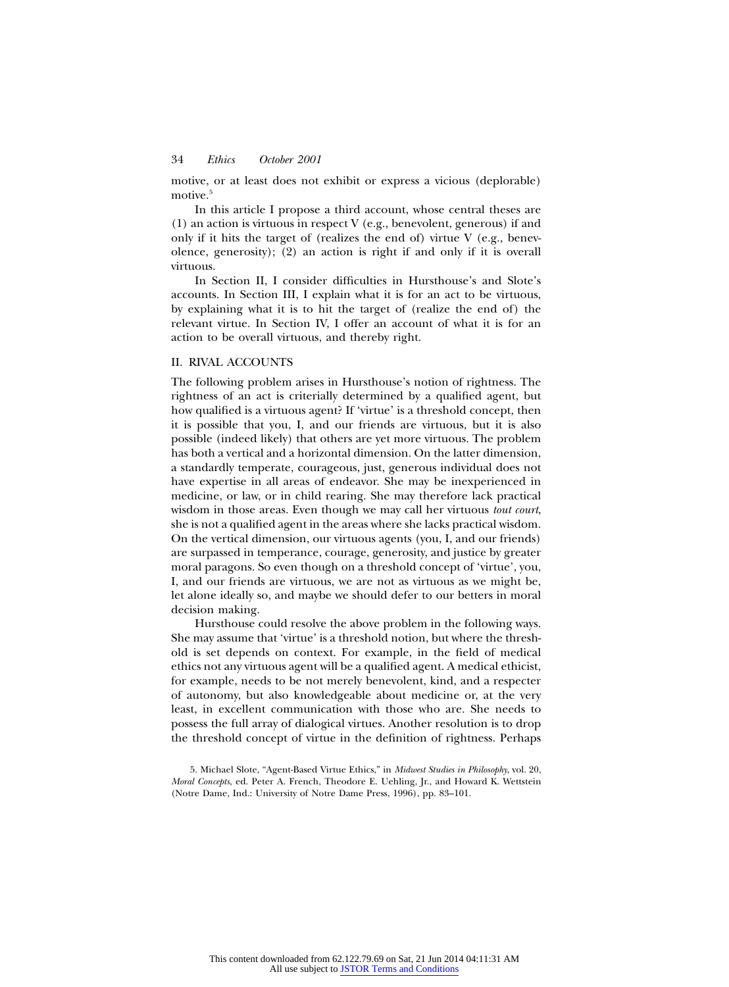motive, or at least does not exhibit or express a vicious (deplorable) motive.<sup>5</sup>

In this article I propose a third account, whose central theses are (1) an action is virtuous in respect V (e.g., benevolent, generous) if and only if it hits the target of (realizes the end of) virtue V (e.g., benevolence, generosity); (2) an action is right if and only if it is overall virtuous.

In Section II, I consider difficulties in Hursthouse's and Slote's accounts. In Section III, I explain what it is for an act to be virtuous, by explaining what it is to hit the target of (realize the end of) the relevant virtue. In Section IV, I offer an account of what it is for an action to be overall virtuous, and thereby right.

#### II. RIVAL ACCOUNTS

The following problem arises in Hursthouse's notion of rightness. The rightness of an act is criterially determined by a qualified agent, but how qualified is a virtuous agent? If 'virtue' is a threshold concept, then it is possible that you, I, and our friends are virtuous, but it is also possible (indeed likely) that others are yet more virtuous. The problem has both a vertical and a horizontal dimension. On the latter dimension, a standardly temperate, courageous, just, generous individual does not have expertise in all areas of endeavor. She may be inexperienced in medicine, or law, or in child rearing. She may therefore lack practical wisdom in those areas. Even though we may call her virtuous *tout court*, she is not a qualified agent in the areas where she lacks practical wisdom. On the vertical dimension, our virtuous agents (you, I, and our friends) are surpassed in temperance, courage, generosity, and justice by greater moral paragons. So even though on a threshold concept of 'virtue', you, I, and our friends are virtuous, we are not as virtuous as we might be, let alone ideally so, and maybe we should defer to our betters in moral decision making.

Hursthouse could resolve the above problem in the following ways. She may assume that 'virtue' is a threshold notion, but where the threshold is set depends on context. For example, in the field of medical ethics not any virtuous agent will be a qualified agent. A medical ethicist, for example, needs to be not merely benevolent, kind, and a respecter of autonomy, but also knowledgeable about medicine or, at the very least, in excellent communication with those who are. She needs to possess the full array of dialogical virtues. Another resolution is to drop the threshold concept of virtue in the definition of rightness. Perhaps

<sup>5.</sup> Michael Slote, "Agent-Based Virtue Ethics," in *Midwest Studies in Philosophy*, vol. 20, *Moral Concepts*, ed. Peter A. French, Theodore E. Uehling, Jr., and Howard K. Wettstein (Notre Dame, Ind.: University of Notre Dame Press, 1996), pp. 83–101.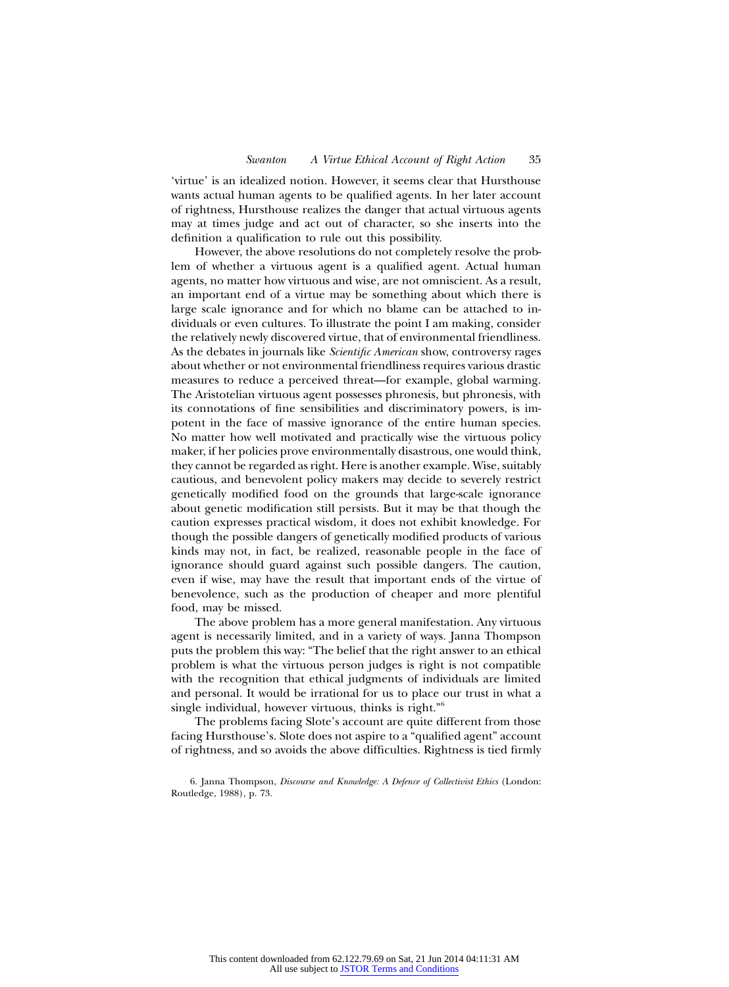'virtue' is an idealized notion. However, it seems clear that Hursthouse wants actual human agents to be qualified agents. In her later account of rightness, Hursthouse realizes the danger that actual virtuous agents may at times judge and act out of character, so she inserts into the definition a qualification to rule out this possibility.

However, the above resolutions do not completely resolve the problem of whether a virtuous agent is a qualified agent. Actual human agents, no matter how virtuous and wise, are not omniscient. As a result, an important end of a virtue may be something about which there is large scale ignorance and for which no blame can be attached to individuals or even cultures. To illustrate the point I am making, consider the relatively newly discovered virtue, that of environmental friendliness. As the debates in journals like *Scientific American* show, controversy rages about whether or not environmental friendliness requires various drastic measures to reduce a perceived threat—for example, global warming. The Aristotelian virtuous agent possesses phronesis, but phronesis, with its connotations of fine sensibilities and discriminatory powers, is impotent in the face of massive ignorance of the entire human species. No matter how well motivated and practically wise the virtuous policy maker, if her policies prove environmentally disastrous, one would think, they cannot be regarded as right. Here is another example. Wise, suitably cautious, and benevolent policy makers may decide to severely restrict genetically modified food on the grounds that large-scale ignorance about genetic modification still persists. But it may be that though the caution expresses practical wisdom, it does not exhibit knowledge. For though the possible dangers of genetically modified products of various kinds may not, in fact, be realized, reasonable people in the face of ignorance should guard against such possible dangers. The caution, even if wise, may have the result that important ends of the virtue of benevolence, such as the production of cheaper and more plentiful food, may be missed.

The above problem has a more general manifestation. Any virtuous agent is necessarily limited, and in a variety of ways. Janna Thompson puts the problem this way: "The belief that the right answer to an ethical problem is what the virtuous person judges is right is not compatible with the recognition that ethical judgments of individuals are limited and personal. It would be irrational for us to place our trust in what a single individual, however virtuous, thinks is right."<sup>6</sup>

The problems facing Slote's account are quite different from those facing Hursthouse's. Slote does not aspire to a "qualified agent" account of rightness, and so avoids the above difficulties. Rightness is tied firmly

<sup>6.</sup> Janna Thompson, *Discourse and Knowledge: A Defence of Collectivist Ethics* (London: Routledge, 1988), p. 73.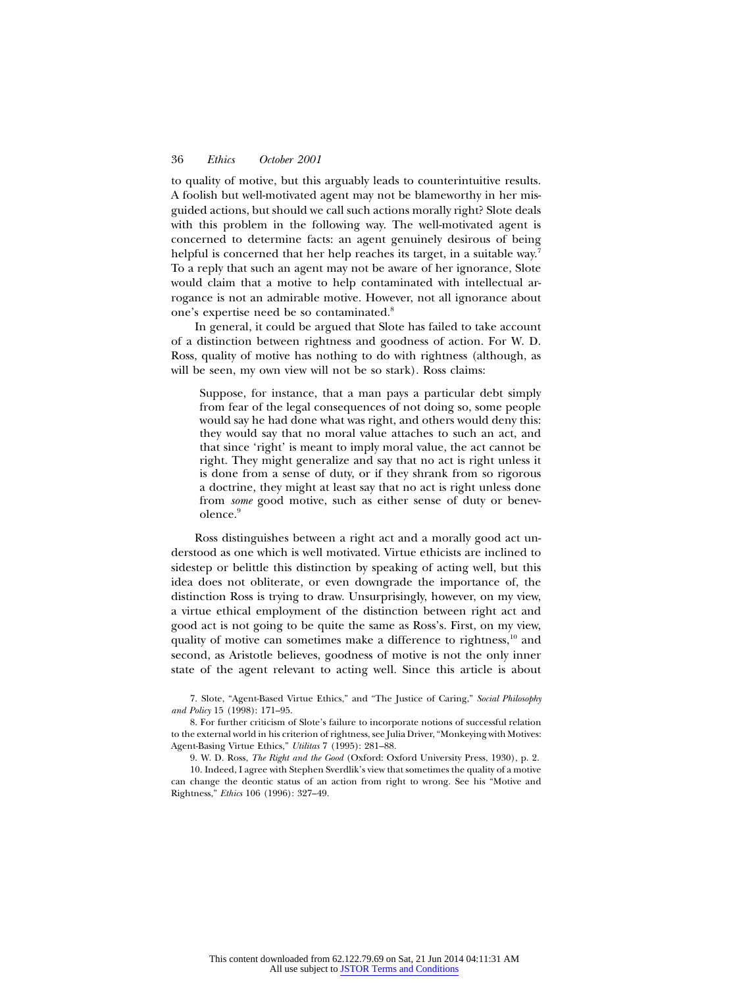to quality of motive, but this arguably leads to counterintuitive results. A foolish but well-motivated agent may not be blameworthy in her misguided actions, but should we call such actions morally right? Slote deals with this problem in the following way. The well-motivated agent is concerned to determine facts: an agent genuinely desirous of being helpful is concerned that her help reaches its target, in a suitable way.<sup>7</sup> To a reply that such an agent may not be aware of her ignorance, Slote would claim that a motive to help contaminated with intellectual arrogance is not an admirable motive. However, not all ignorance about one's expertise need be so contaminated.<sup>8</sup>

In general, it could be argued that Slote has failed to take account of a distinction between rightness and goodness of action. For W. D. Ross, quality of motive has nothing to do with rightness (although, as will be seen, my own view will not be so stark). Ross claims:

Suppose, for instance, that a man pays a particular debt simply from fear of the legal consequences of not doing so, some people would say he had done what was right, and others would deny this: they would say that no moral value attaches to such an act, and that since 'right' is meant to imply moral value, the act cannot be right. They might generalize and say that no act is right unless it is done from a sense of duty, or if they shrank from so rigorous a doctrine, they might at least say that no act is right unless done from *some* good motive, such as either sense of duty or benevolence.<sup>9</sup>

Ross distinguishes between a right act and a morally good act understood as one which is well motivated. Virtue ethicists are inclined to sidestep or belittle this distinction by speaking of acting well, but this idea does not obliterate, or even downgrade the importance of, the distinction Ross is trying to draw. Unsurprisingly, however, on my view, a virtue ethical employment of the distinction between right act and good act is not going to be quite the same as Ross's. First, on my view, quality of motive can sometimes make a difference to rightness,<sup>10</sup> and second, as Aristotle believes, goodness of motive is not the only inner state of the agent relevant to acting well. Since this article is about

7. Slote, "Agent-Based Virtue Ethics," and "The Justice of Caring," *Social Philosophy and Policy* 15 (1998): 171–95.

8. For further criticism of Slote's failure to incorporate notions of successful relation to the external world in his criterion of rightness, see Julia Driver, "Monkeying with Motives: Agent-Basing Virtue Ethics," *Utilitas* 7 (1995): 281–88.

9. W. D. Ross, *The Right and the Good* (Oxford: Oxford University Press, 1930), p. 2.

10. Indeed, I agree with Stephen Sverdlik's view that sometimes the quality of a motive can change the deontic status of an action from right to wrong. See his "Motive and Rightness," *Ethics* 106 (1996): 327–49.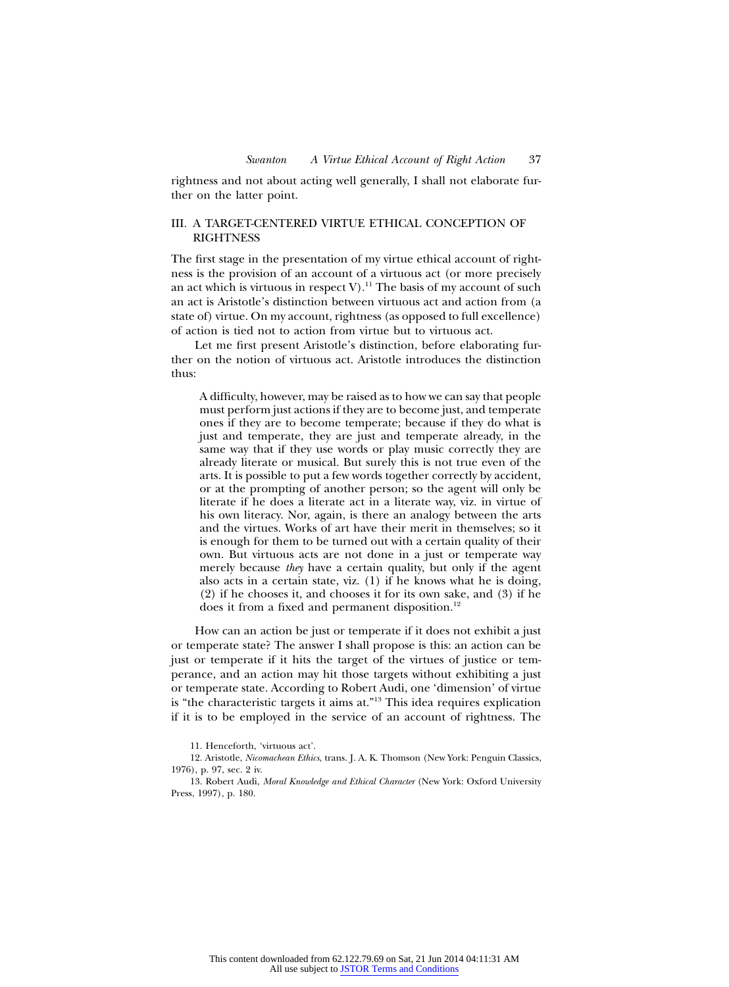rightness and not about acting well generally, I shall not elaborate further on the latter point.

### III. A TARGET-CENTERED VIRTUE ETHICAL CONCEPTION OF **RIGHTNESS**

The first stage in the presentation of my virtue ethical account of rightness is the provision of an account of a virtuous act (or more precisely an act which is virtuous in respect V).<sup>11</sup> The basis of my account of such an act is Aristotle's distinction between virtuous act and action from (a state of) virtue. On my account, rightness (as opposed to full excellence) of action is tied not to action from virtue but to virtuous act.

Let me first present Aristotle's distinction, before elaborating further on the notion of virtuous act. Aristotle introduces the distinction thus:

A difficulty, however, may be raised as to how we can say that people must perform just actions if they are to become just, and temperate ones if they are to become temperate; because if they do what is just and temperate, they are just and temperate already, in the same way that if they use words or play music correctly they are already literate or musical. But surely this is not true even of the arts. It is possible to put a few words together correctly by accident, or at the prompting of another person; so the agent will only be literate if he does a literate act in a literate way, viz. in virtue of his own literacy. Nor, again, is there an analogy between the arts and the virtues. Works of art have their merit in themselves; so it is enough for them to be turned out with a certain quality of their own. But virtuous acts are not done in a just or temperate way merely because *they* have a certain quality, but only if the agent also acts in a certain state, viz. (1) if he knows what he is doing, (2) if he chooses it, and chooses it for its own sake, and (3) if he does it from a fixed and permanent disposition.<sup>12</sup>

How can an action be just or temperate if it does not exhibit a just or temperate state? The answer I shall propose is this: an action can be just or temperate if it hits the target of the virtues of justice or temperance, and an action may hit those targets without exhibiting a just or temperate state. According to Robert Audi, one 'dimension' of virtue is "the characteristic targets it aims at."<sup>13</sup> This idea requires explication if it is to be employed in the service of an account of rightness. The

<sup>11.</sup> Henceforth, 'virtuous act'.

<sup>12.</sup> Aristotle, *Nicomachean Ethics*, trans. J. A. K. Thomson (New York: Penguin Classics, 1976), p. 97, sec. 2 iv.

<sup>13.</sup> Robert Audi, *Moral Knowledge and Ethical Character* (New York: Oxford University Press, 1997), p. 180.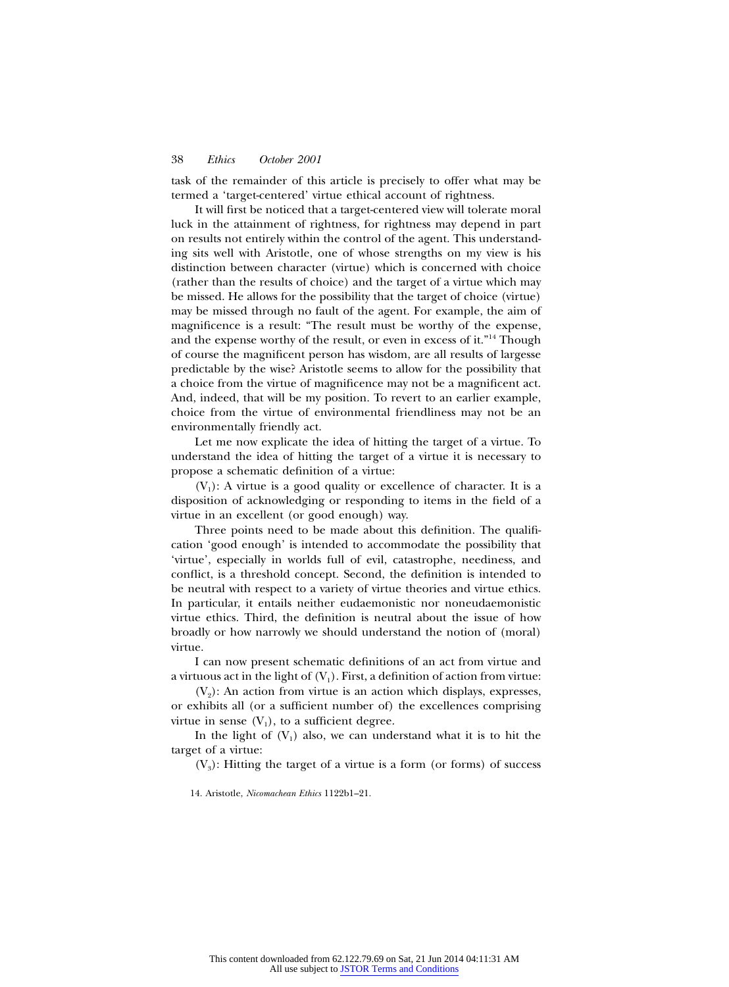task of the remainder of this article is precisely to offer what may be termed a 'target-centered' virtue ethical account of rightness.

It will first be noticed that a target-centered view will tolerate moral luck in the attainment of rightness, for rightness may depend in part on results not entirely within the control of the agent. This understanding sits well with Aristotle, one of whose strengths on my view is his distinction between character (virtue) which is concerned with choice (rather than the results of choice) and the target of a virtue which may be missed. He allows for the possibility that the target of choice (virtue) may be missed through no fault of the agent. For example, the aim of magnificence is a result: "The result must be worthy of the expense, and the expense worthy of the result, or even in excess of it."<sup>14</sup> Though of course the magnificent person has wisdom, are all results of largesse predictable by the wise? Aristotle seems to allow for the possibility that a choice from the virtue of magnificence may not be a magnificent act. And, indeed, that will be my position. To revert to an earlier example, choice from the virtue of environmental friendliness may not be an environmentally friendly act.

Let me now explicate the idea of hitting the target of a virtue. To understand the idea of hitting the target of a virtue it is necessary to propose a schematic definition of a virtue:

 $(V_1)$ : A virtue is a good quality or excellence of character. It is a disposition of acknowledging or responding to items in the field of a virtue in an excellent (or good enough) way.

Three points need to be made about this definition. The qualification 'good enough' is intended to accommodate the possibility that 'virtue', especially in worlds full of evil, catastrophe, neediness, and conflict, is a threshold concept. Second, the definition is intended to be neutral with respect to a variety of virtue theories and virtue ethics. In particular, it entails neither eudaemonistic nor noneudaemonistic virtue ethics. Third, the definition is neutral about the issue of how broadly or how narrowly we should understand the notion of (moral) virtue.

I can now present schematic definitions of an act from virtue and a virtuous act in the light of  $(V_1)$ . First, a definition of action from virtue:

 $(V_2)$ : An action from virtue is an action which displays, expresses, or exhibits all (or a sufficient number of) the excellences comprising virtue in sense  $(V_1)$ , to a sufficient degree.

In the light of  $(V_1)$  also, we can understand what it is to hit the target of a virtue:

 $(V_3)$ : Hitting the target of a virtue is a form (or forms) of success

14. Aristotle, *Nicomachean Ethics* 1122b1–21.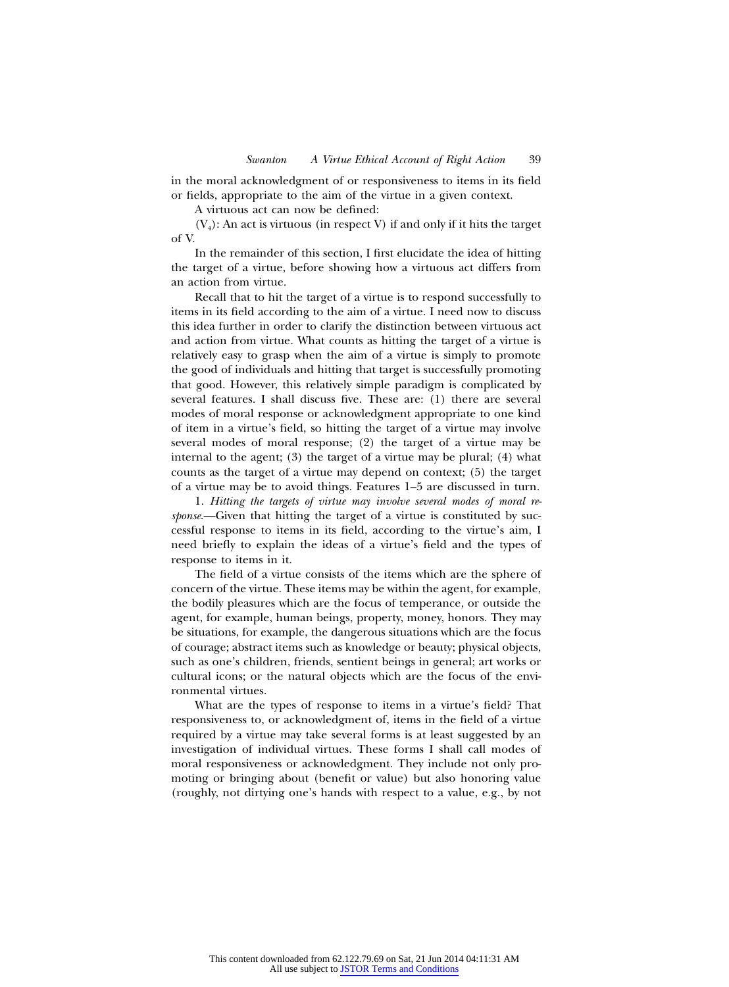in the moral acknowledgment of or responsiveness to items in its field or fields, appropriate to the aim of the virtue in a given context.

A virtuous act can now be defined:

 $(V_4)$ : An act is virtuous (in respect V) if and only if it hits the target of V.

In the remainder of this section, I first elucidate the idea of hitting the target of a virtue, before showing how a virtuous act differs from an action from virtue.

Recall that to hit the target of a virtue is to respond successfully to items in its field according to the aim of a virtue. I need now to discuss this idea further in order to clarify the distinction between virtuous act and action from virtue. What counts as hitting the target of a virtue is relatively easy to grasp when the aim of a virtue is simply to promote the good of individuals and hitting that target is successfully promoting that good. However, this relatively simple paradigm is complicated by several features. I shall discuss five. These are: (1) there are several modes of moral response or acknowledgment appropriate to one kind of item in a virtue's field, so hitting the target of a virtue may involve several modes of moral response; (2) the target of a virtue may be internal to the agent; (3) the target of a virtue may be plural; (4) what counts as the target of a virtue may depend on context; (5) the target of a virtue may be to avoid things. Features 1–5 are discussed in turn.

1. *Hitting the targets of virtue may involve several modes of moral response*.—Given that hitting the target of a virtue is constituted by successful response to items in its field, according to the virtue's aim, I need briefly to explain the ideas of a virtue's field and the types of response to items in it.

The field of a virtue consists of the items which are the sphere of concern of the virtue. These items may be within the agent, for example, the bodily pleasures which are the focus of temperance, or outside the agent, for example, human beings, property, money, honors. They may be situations, for example, the dangerous situations which are the focus of courage; abstract items such as knowledge or beauty; physical objects, such as one's children, friends, sentient beings in general; art works or cultural icons; or the natural objects which are the focus of the environmental virtues.

What are the types of response to items in a virtue's field? That responsiveness to, or acknowledgment of, items in the field of a virtue required by a virtue may take several forms is at least suggested by an investigation of individual virtues. These forms I shall call modes of moral responsiveness or acknowledgment. They include not only promoting or bringing about (benefit or value) but also honoring value (roughly, not dirtying one's hands with respect to a value, e.g., by not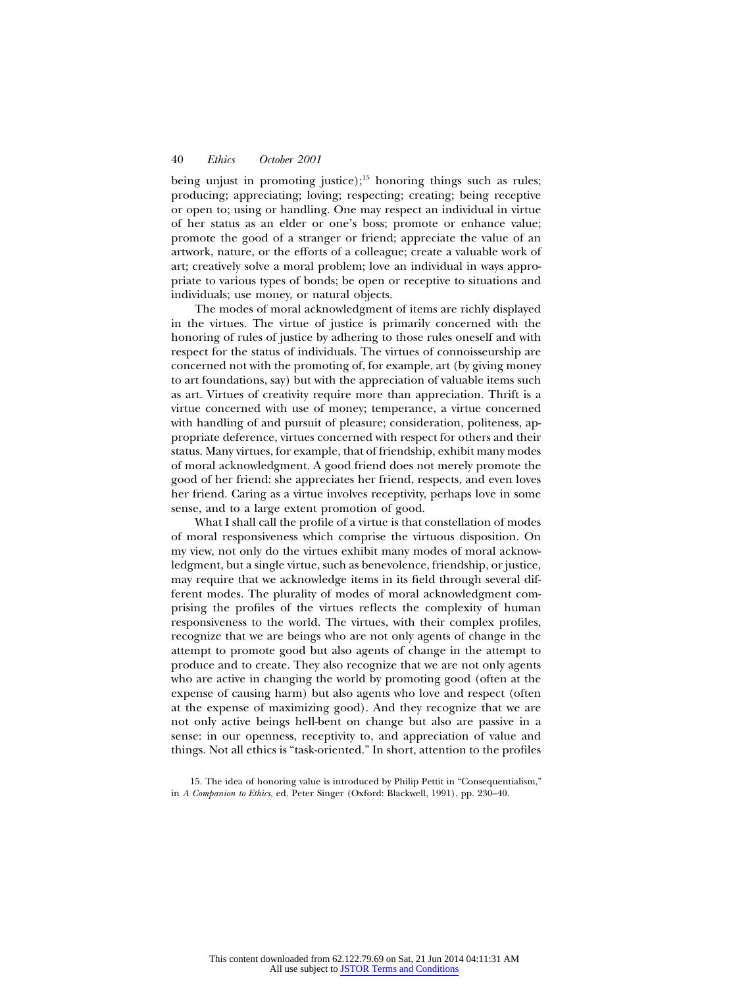being unjust in promoting justice); $15$  honoring things such as rules; producing; appreciating; loving; respecting; creating; being receptive or open to; using or handling. One may respect an individual in virtue of her status as an elder or one's boss; promote or enhance value; promote the good of a stranger or friend; appreciate the value of an artwork, nature, or the efforts of a colleague; create a valuable work of art; creatively solve a moral problem; love an individual in ways appropriate to various types of bonds; be open or receptive to situations and individuals; use money, or natural objects.

The modes of moral acknowledgment of items are richly displayed in the virtues. The virtue of justice is primarily concerned with the honoring of rules of justice by adhering to those rules oneself and with respect for the status of individuals. The virtues of connoisseurship are concerned not with the promoting of, for example, art (by giving money to art foundations, say) but with the appreciation of valuable items such as art. Virtues of creativity require more than appreciation. Thrift is a virtue concerned with use of money; temperance, a virtue concerned with handling of and pursuit of pleasure; consideration, politeness, appropriate deference, virtues concerned with respect for others and their status. Many virtues, for example, that of friendship, exhibit many modes of moral acknowledgment. A good friend does not merely promote the good of her friend: she appreciates her friend, respects, and even loves her friend. Caring as a virtue involves receptivity, perhaps love in some sense, and to a large extent promotion of good.

What I shall call the profile of a virtue is that constellation of modes of moral responsiveness which comprise the virtuous disposition. On my view, not only do the virtues exhibit many modes of moral acknowledgment, but a single virtue, such as benevolence, friendship, or justice, may require that we acknowledge items in its field through several different modes. The plurality of modes of moral acknowledgment comprising the profiles of the virtues reflects the complexity of human responsiveness to the world. The virtues, with their complex profiles, recognize that we are beings who are not only agents of change in the attempt to promote good but also agents of change in the attempt to produce and to create. They also recognize that we are not only agents who are active in changing the world by promoting good (often at the expense of causing harm) but also agents who love and respect (often at the expense of maximizing good). And they recognize that we are not only active beings hell-bent on change but also are passive in a sense: in our openness, receptivity to, and appreciation of value and things. Not all ethics is "task-oriented." In short, attention to the profiles

<sup>15.</sup> The idea of honoring value is introduced by Philip Pettit in "Consequentialism," in *A Companion to Ethics*, ed. Peter Singer (Oxford: Blackwell, 1991), pp. 230–40.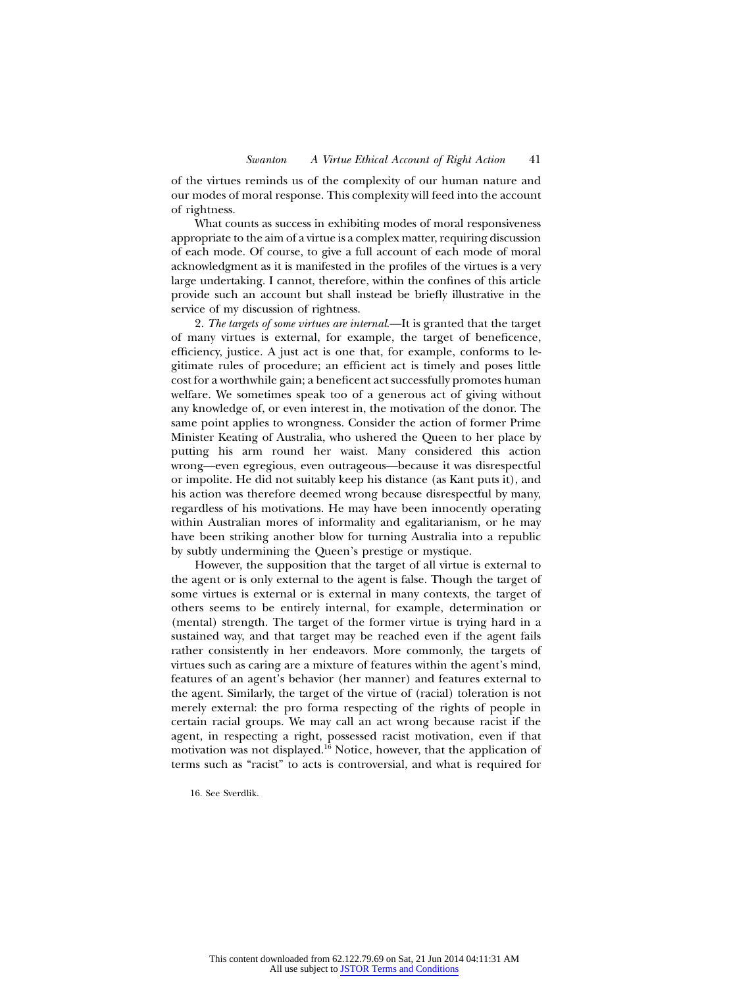of the virtues reminds us of the complexity of our human nature and our modes of moral response. This complexity will feed into the account of rightness.

What counts as success in exhibiting modes of moral responsiveness appropriate to the aim of a virtue is a complex matter, requiring discussion of each mode. Of course, to give a full account of each mode of moral acknowledgment as it is manifested in the profiles of the virtues is a very large undertaking. I cannot, therefore, within the confines of this article provide such an account but shall instead be briefly illustrative in the service of my discussion of rightness.

2. *The targets of some virtues are internal*.—It is granted that the target of many virtues is external, for example, the target of beneficence, efficiency, justice. A just act is one that, for example, conforms to legitimate rules of procedure; an efficient act is timely and poses little cost for a worthwhile gain; a beneficent act successfully promotes human welfare. We sometimes speak too of a generous act of giving without any knowledge of, or even interest in, the motivation of the donor. The same point applies to wrongness. Consider the action of former Prime Minister Keating of Australia, who ushered the Queen to her place by putting his arm round her waist. Many considered this action wrong—even egregious, even outrageous—because it was disrespectful or impolite. He did not suitably keep his distance (as Kant puts it), and his action was therefore deemed wrong because disrespectful by many, regardless of his motivations. He may have been innocently operating within Australian mores of informality and egalitarianism, or he may have been striking another blow for turning Australia into a republic by subtly undermining the Queen's prestige or mystique.

However, the supposition that the target of all virtue is external to the agent or is only external to the agent is false. Though the target of some virtues is external or is external in many contexts, the target of others seems to be entirely internal, for example, determination or (mental) strength. The target of the former virtue is trying hard in a sustained way, and that target may be reached even if the agent fails rather consistently in her endeavors. More commonly, the targets of virtues such as caring are a mixture of features within the agent's mind, features of an agent's behavior (her manner) and features external to the agent. Similarly, the target of the virtue of (racial) toleration is not merely external: the pro forma respecting of the rights of people in certain racial groups. We may call an act wrong because racist if the agent, in respecting a right, possessed racist motivation, even if that motivation was not displayed.<sup>16</sup> Notice, however, that the application of terms such as "racist" to acts is controversial, and what is required for

16. See Sverdlik.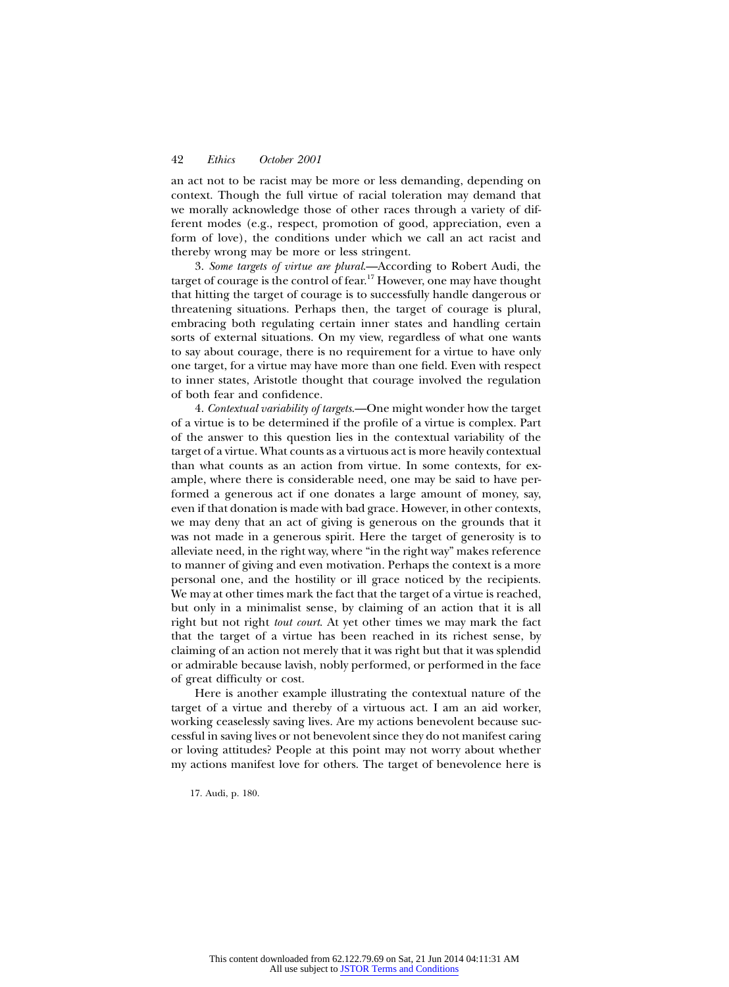an act not to be racist may be more or less demanding, depending on context. Though the full virtue of racial toleration may demand that we morally acknowledge those of other races through a variety of different modes (e.g., respect, promotion of good, appreciation, even a form of love), the conditions under which we call an act racist and thereby wrong may be more or less stringent.

3. *Some targets of virtue are plural*.—According to Robert Audi, the target of courage is the control of fear.<sup>17</sup> However, one may have thought that hitting the target of courage is to successfully handle dangerous or threatening situations. Perhaps then, the target of courage is plural, embracing both regulating certain inner states and handling certain sorts of external situations. On my view, regardless of what one wants to say about courage, there is no requirement for a virtue to have only one target, for a virtue may have more than one field. Even with respect to inner states, Aristotle thought that courage involved the regulation of both fear and confidence.

4. *Contextual variability of targets*.—One might wonder how the target of a virtue is to be determined if the profile of a virtue is complex. Part of the answer to this question lies in the contextual variability of the target of a virtue. What counts as a virtuous act is more heavily contextual than what counts as an action from virtue. In some contexts, for example, where there is considerable need, one may be said to have performed a generous act if one donates a large amount of money, say, even if that donation is made with bad grace. However, in other contexts, we may deny that an act of giving is generous on the grounds that it was not made in a generous spirit. Here the target of generosity is to alleviate need, in the right way, where "in the right way" makes reference to manner of giving and even motivation. Perhaps the context is a more personal one, and the hostility or ill grace noticed by the recipients. We may at other times mark the fact that the target of a virtue is reached, but only in a minimalist sense, by claiming of an action that it is all right but not right *tout court*. At yet other times we may mark the fact that the target of a virtue has been reached in its richest sense, by claiming of an action not merely that it was right but that it was splendid or admirable because lavish, nobly performed, or performed in the face of great difficulty or cost.

Here is another example illustrating the contextual nature of the target of a virtue and thereby of a virtuous act. I am an aid worker, working ceaselessly saving lives. Are my actions benevolent because successful in saving lives or not benevolent since they do not manifest caring or loving attitudes? People at this point may not worry about whether my actions manifest love for others. The target of benevolence here is

17. Audi, p. 180.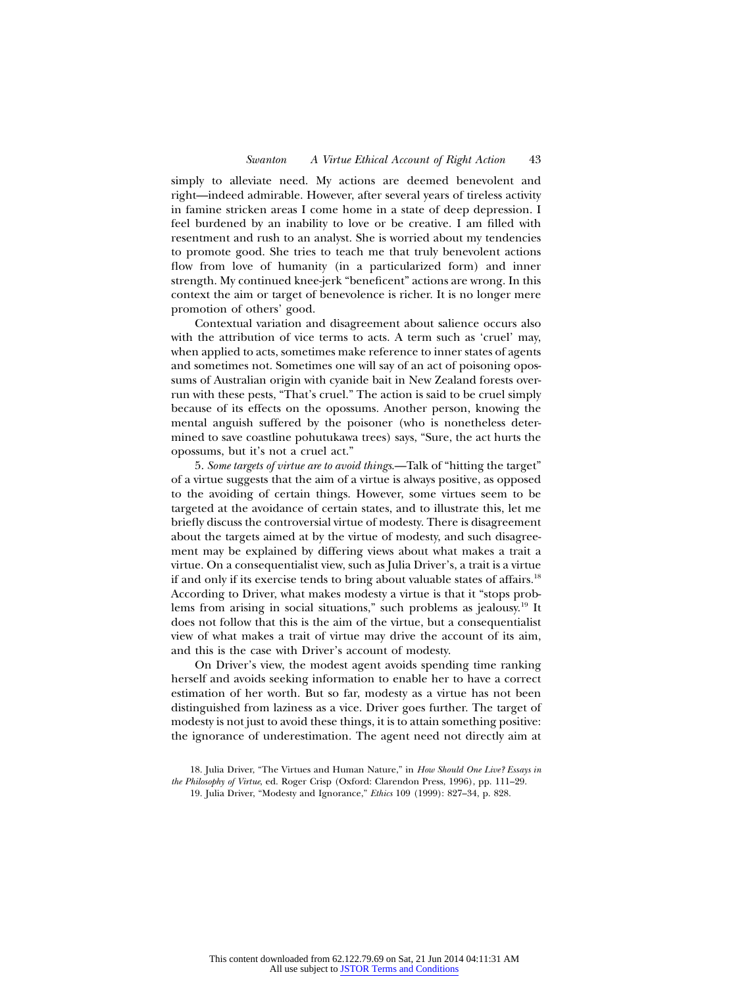simply to alleviate need. My actions are deemed benevolent and right—indeed admirable. However, after several years of tireless activity in famine stricken areas I come home in a state of deep depression. I feel burdened by an inability to love or be creative. I am filled with resentment and rush to an analyst. She is worried about my tendencies to promote good. She tries to teach me that truly benevolent actions flow from love of humanity (in a particularized form) and inner strength. My continued knee-jerk "beneficent" actions are wrong. In this context the aim or target of benevolence is richer. It is no longer mere promotion of others' good.

Contextual variation and disagreement about salience occurs also with the attribution of vice terms to acts. A term such as 'cruel' may, when applied to acts, sometimes make reference to inner states of agents and sometimes not. Sometimes one will say of an act of poisoning opossums of Australian origin with cyanide bait in New Zealand forests overrun with these pests, "That's cruel." The action is said to be cruel simply because of its effects on the opossums. Another person, knowing the mental anguish suffered by the poisoner (who is nonetheless determined to save coastline pohutukawa trees) says, "Sure, the act hurts the opossums, but it's not a cruel act."

5. *Some targets of virtue are to avoid things*.—Talk of "hitting the target" of a virtue suggests that the aim of a virtue is always positive, as opposed to the avoiding of certain things. However, some virtues seem to be targeted at the avoidance of certain states, and to illustrate this, let me briefly discuss the controversial virtue of modesty. There is disagreement about the targets aimed at by the virtue of modesty, and such disagreement may be explained by differing views about what makes a trait a virtue. On a consequentialist view, such as Julia Driver's, a trait is a virtue if and only if its exercise tends to bring about valuable states of affairs.<sup>18</sup> According to Driver, what makes modesty a virtue is that it "stops problems from arising in social situations," such problems as jealousy.<sup>19</sup> It does not follow that this is the aim of the virtue, but a consequentialist view of what makes a trait of virtue may drive the account of its aim, and this is the case with Driver's account of modesty.

On Driver's view, the modest agent avoids spending time ranking herself and avoids seeking information to enable her to have a correct estimation of her worth. But so far, modesty as a virtue has not been distinguished from laziness as a vice. Driver goes further. The target of modesty is not just to avoid these things, it is to attain something positive: the ignorance of underestimation. The agent need not directly aim at

<sup>18.</sup> Julia Driver, "The Virtues and Human Nature," in *How Should One Live? Essays in the Philosophy of Virtue*, ed. Roger Crisp (Oxford: Clarendon Press, 1996), pp. 111–29.

<sup>19.</sup> Julia Driver, "Modesty and Ignorance," *Ethics* 109 (1999): 827–34, p. 828.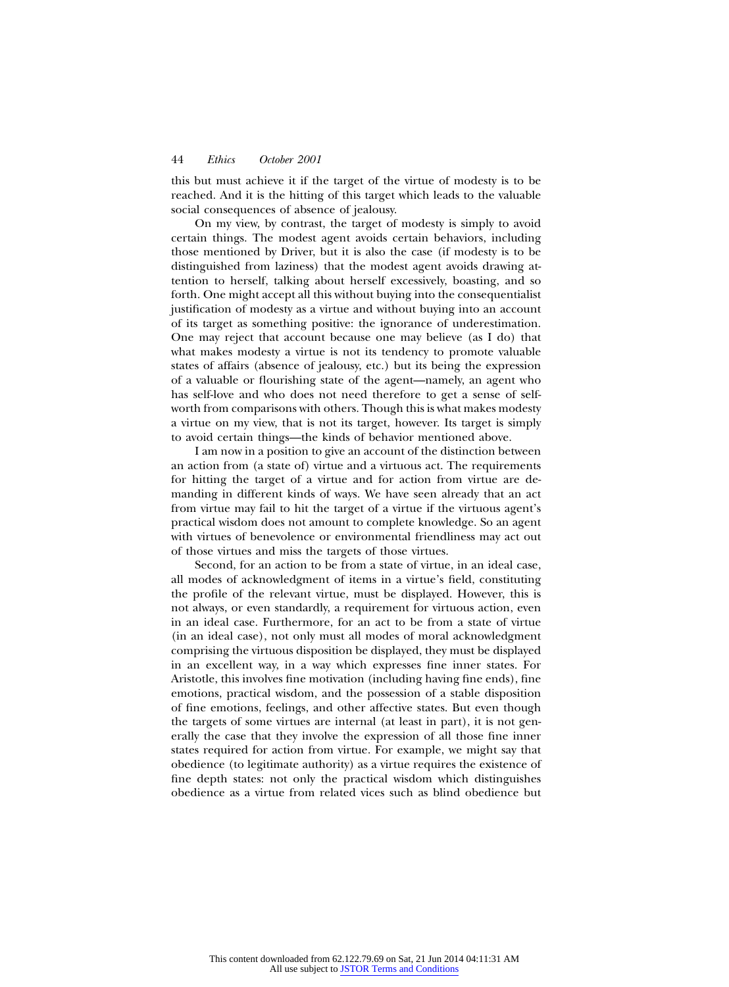this but must achieve it if the target of the virtue of modesty is to be reached. And it is the hitting of this target which leads to the valuable social consequences of absence of jealousy.

On my view, by contrast, the target of modesty is simply to avoid certain things. The modest agent avoids certain behaviors, including those mentioned by Driver, but it is also the case (if modesty is to be distinguished from laziness) that the modest agent avoids drawing attention to herself, talking about herself excessively, boasting, and so forth. One might accept all this without buying into the consequentialist justification of modesty as a virtue and without buying into an account of its target as something positive: the ignorance of underestimation. One may reject that account because one may believe (as I do) that what makes modesty a virtue is not its tendency to promote valuable states of affairs (absence of jealousy, etc.) but its being the expression of a valuable or flourishing state of the agent—namely, an agent who has self-love and who does not need therefore to get a sense of selfworth from comparisons with others. Though this is what makes modesty a virtue on my view, that is not its target, however. Its target is simply to avoid certain things—the kinds of behavior mentioned above.

I am now in a position to give an account of the distinction between an action from (a state of) virtue and a virtuous act. The requirements for hitting the target of a virtue and for action from virtue are demanding in different kinds of ways. We have seen already that an act from virtue may fail to hit the target of a virtue if the virtuous agent's practical wisdom does not amount to complete knowledge. So an agent with virtues of benevolence or environmental friendliness may act out of those virtues and miss the targets of those virtues.

Second, for an action to be from a state of virtue, in an ideal case, all modes of acknowledgment of items in a virtue's field, constituting the profile of the relevant virtue, must be displayed. However, this is not always, or even standardly, a requirement for virtuous action, even in an ideal case. Furthermore, for an act to be from a state of virtue (in an ideal case), not only must all modes of moral acknowledgment comprising the virtuous disposition be displayed, they must be displayed in an excellent way, in a way which expresses fine inner states. For Aristotle, this involves fine motivation (including having fine ends), fine emotions, practical wisdom, and the possession of a stable disposition of fine emotions, feelings, and other affective states. But even though the targets of some virtues are internal (at least in part), it is not generally the case that they involve the expression of all those fine inner states required for action from virtue. For example, we might say that obedience (to legitimate authority) as a virtue requires the existence of fine depth states: not only the practical wisdom which distinguishes obedience as a virtue from related vices such as blind obedience but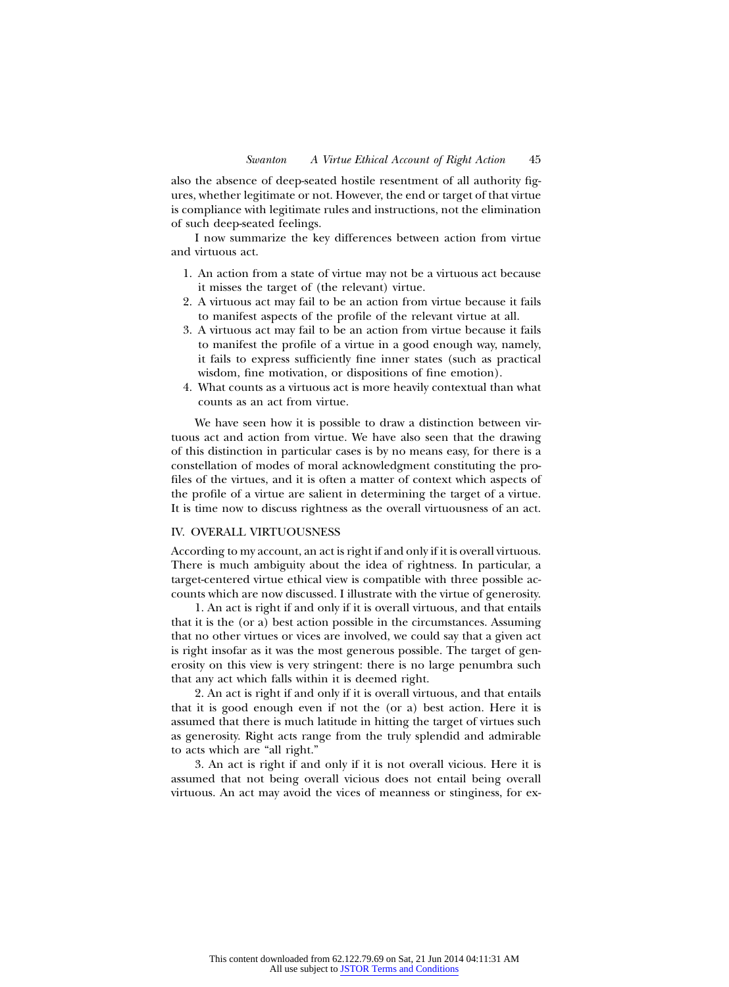also the absence of deep-seated hostile resentment of all authority figures, whether legitimate or not. However, the end or target of that virtue is compliance with legitimate rules and instructions, not the elimination of such deep-seated feelings.

I now summarize the key differences between action from virtue and virtuous act.

- 1. An action from a state of virtue may not be a virtuous act because it misses the target of (the relevant) virtue.
- 2. A virtuous act may fail to be an action from virtue because it fails to manifest aspects of the profile of the relevant virtue at all.
- 3. A virtuous act may fail to be an action from virtue because it fails to manifest the profile of a virtue in a good enough way, namely, it fails to express sufficiently fine inner states (such as practical wisdom, fine motivation, or dispositions of fine emotion).
- 4. What counts as a virtuous act is more heavily contextual than what counts as an act from virtue.

We have seen how it is possible to draw a distinction between virtuous act and action from virtue. We have also seen that the drawing of this distinction in particular cases is by no means easy, for there is a constellation of modes of moral acknowledgment constituting the profiles of the virtues, and it is often a matter of context which aspects of the profile of a virtue are salient in determining the target of a virtue. It is time now to discuss rightness as the overall virtuousness of an act.

# IV. OVERALL VIRTUOUSNESS

According to my account, an act is right if and only if it is overall virtuous. There is much ambiguity about the idea of rightness. In particular, a target-centered virtue ethical view is compatible with three possible accounts which are now discussed. I illustrate with the virtue of generosity.

1. An act is right if and only if it is overall virtuous, and that entails that it is the (or a) best action possible in the circumstances. Assuming that no other virtues or vices are involved, we could say that a given act is right insofar as it was the most generous possible. The target of generosity on this view is very stringent: there is no large penumbra such that any act which falls within it is deemed right.

2. An act is right if and only if it is overall virtuous, and that entails that it is good enough even if not the (or a) best action. Here it is assumed that there is much latitude in hitting the target of virtues such as generosity. Right acts range from the truly splendid and admirable to acts which are "all right."

3. An act is right if and only if it is not overall vicious. Here it is assumed that not being overall vicious does not entail being overall virtuous. An act may avoid the vices of meanness or stinginess, for ex-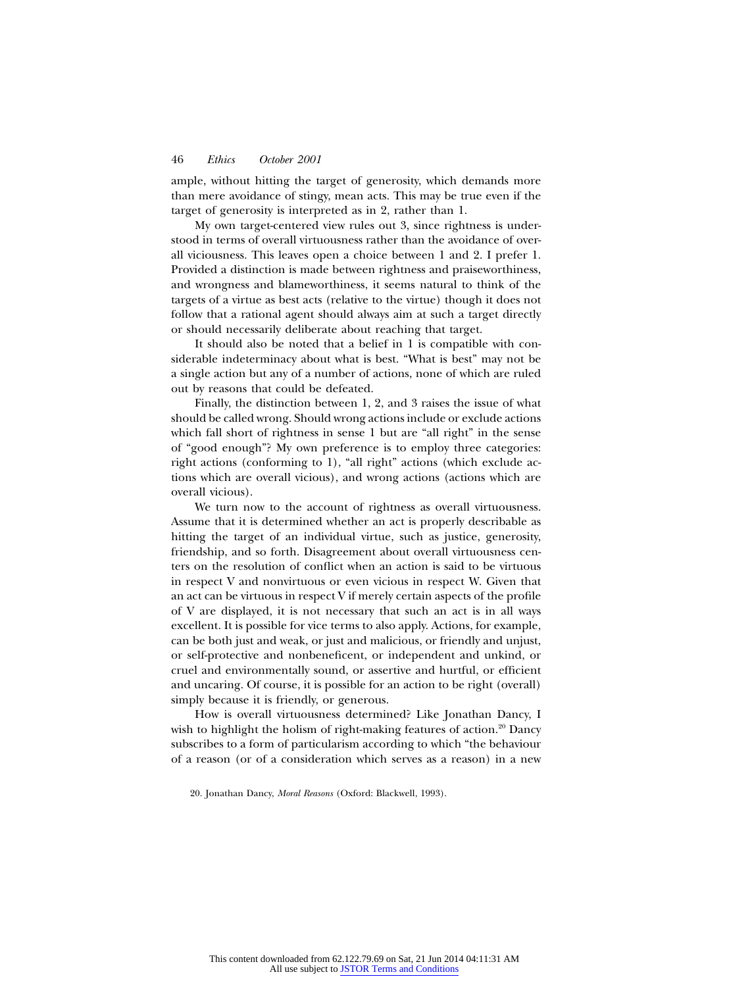ample, without hitting the target of generosity, which demands more than mere avoidance of stingy, mean acts. This may be true even if the target of generosity is interpreted as in 2, rather than 1.

My own target-centered view rules out 3, since rightness is understood in terms of overall virtuousness rather than the avoidance of overall viciousness. This leaves open a choice between 1 and 2. I prefer 1. Provided a distinction is made between rightness and praiseworthiness, and wrongness and blameworthiness, it seems natural to think of the targets of a virtue as best acts (relative to the virtue) though it does not follow that a rational agent should always aim at such a target directly or should necessarily deliberate about reaching that target.

It should also be noted that a belief in 1 is compatible with considerable indeterminacy about what is best. "What is best" may not be a single action but any of a number of actions, none of which are ruled out by reasons that could be defeated.

Finally, the distinction between 1, 2, and 3 raises the issue of what should be called wrong. Should wrong actions include or exclude actions which fall short of rightness in sense 1 but are "all right" in the sense of "good enough"? My own preference is to employ three categories: right actions (conforming to 1), "all right" actions (which exclude actions which are overall vicious), and wrong actions (actions which are overall vicious).

We turn now to the account of rightness as overall virtuousness. Assume that it is determined whether an act is properly describable as hitting the target of an individual virtue, such as justice, generosity, friendship, and so forth. Disagreement about overall virtuousness centers on the resolution of conflict when an action is said to be virtuous in respect V and nonvirtuous or even vicious in respect W. Given that an act can be virtuous in respect V if merely certain aspects of the profile of V are displayed, it is not necessary that such an act is in all ways excellent. It is possible for vice terms to also apply. Actions, for example, can be both just and weak, or just and malicious, or friendly and unjust, or self-protective and nonbeneficent, or independent and unkind, or cruel and environmentally sound, or assertive and hurtful, or efficient and uncaring. Of course, it is possible for an action to be right (overall) simply because it is friendly, or generous.

How is overall virtuousness determined? Like Jonathan Dancy, I wish to highlight the holism of right-making features of action.<sup>20</sup> Dancy subscribes to a form of particularism according to which "the behaviour of a reason (or of a consideration which serves as a reason) in a new

<sup>20.</sup> Jonathan Dancy, *Moral Reasons* (Oxford: Blackwell, 1993).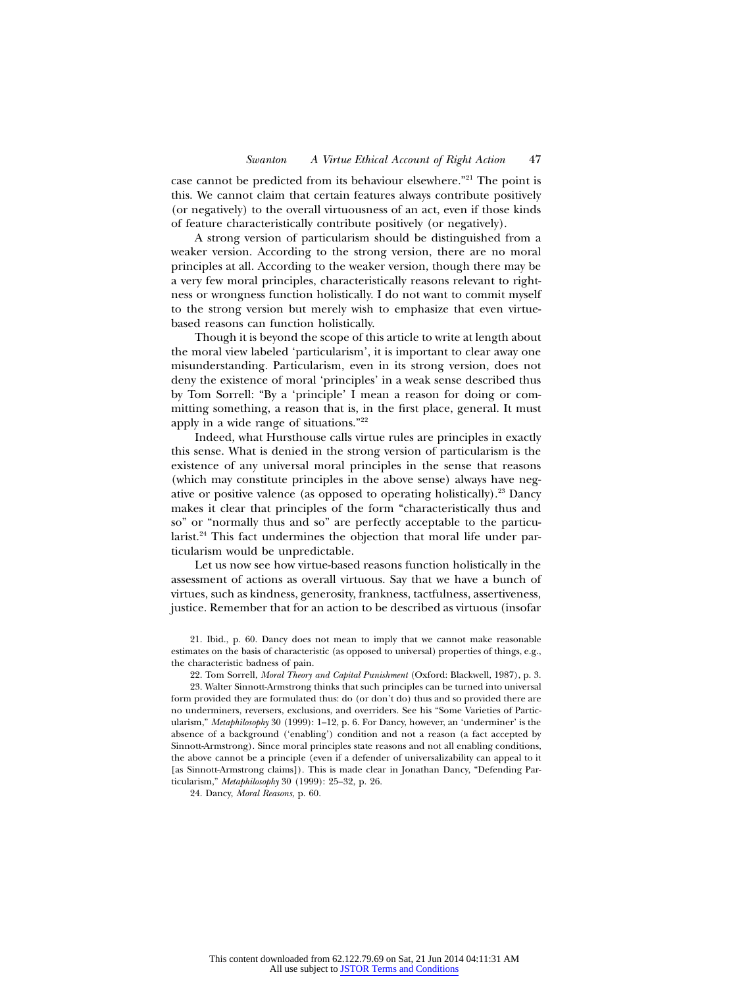case cannot be predicted from its behaviour elsewhere."<sup>21</sup> The point is this. We cannot claim that certain features always contribute positively (or negatively) to the overall virtuousness of an act, even if those kinds of feature characteristically contribute positively (or negatively).

A strong version of particularism should be distinguished from a weaker version. According to the strong version, there are no moral principles at all. According to the weaker version, though there may be a very few moral principles, characteristically reasons relevant to rightness or wrongness function holistically. I do not want to commit myself to the strong version but merely wish to emphasize that even virtuebased reasons can function holistically.

Though it is beyond the scope of this article to write at length about the moral view labeled 'particularism', it is important to clear away one misunderstanding. Particularism, even in its strong version, does not deny the existence of moral 'principles' in a weak sense described thus by Tom Sorrell: "By a 'principle' I mean a reason for doing or committing something, a reason that is, in the first place, general. It must apply in a wide range of situations."<sup>22</sup>

Indeed, what Hursthouse calls virtue rules are principles in exactly this sense. What is denied in the strong version of particularism is the existence of any universal moral principles in the sense that reasons (which may constitute principles in the above sense) always have negative or positive valence (as opposed to operating holistically).<sup>23</sup> Dancy makes it clear that principles of the form "characteristically thus and so" or "normally thus and so" are perfectly acceptable to the particularist.<sup>24</sup> This fact undermines the objection that moral life under particularism would be unpredictable.

Let us now see how virtue-based reasons function holistically in the assessment of actions as overall virtuous. Say that we have a bunch of virtues, such as kindness, generosity, frankness, tactfulness, assertiveness, justice. Remember that for an action to be described as virtuous (insofar

21. Ibid., p. 60. Dancy does not mean to imply that we cannot make reasonable estimates on the basis of characteristic (as opposed to universal) properties of things, e.g., the characteristic badness of pain.

22. Tom Sorrell, *Moral Theory and Capital Punishment* (Oxford: Blackwell, 1987), p. 3.

23. Walter Sinnott-Armstrong thinks that such principles can be turned into universal form provided they are formulated thus: do (or don't do) thus and so provided there are no underminers, reversers, exclusions, and overriders. See his "Some Varieties of Particularism," *Metaphilosophy* 30 (1999): 1–12, p. 6. For Dancy, however, an 'underminer' is the absence of a background ('enabling') condition and not a reason (a fact accepted by Sinnott-Armstrong). Since moral principles state reasons and not all enabling conditions, the above cannot be a principle (even if a defender of universalizability can appeal to it [as Sinnott-Armstrong claims]). This is made clear in Jonathan Dancy, "Defending Particularism," *Metaphilosophy* 30 (1999): 25–32, p. 26.

24. Dancy, *Moral Reasons*, p. 60.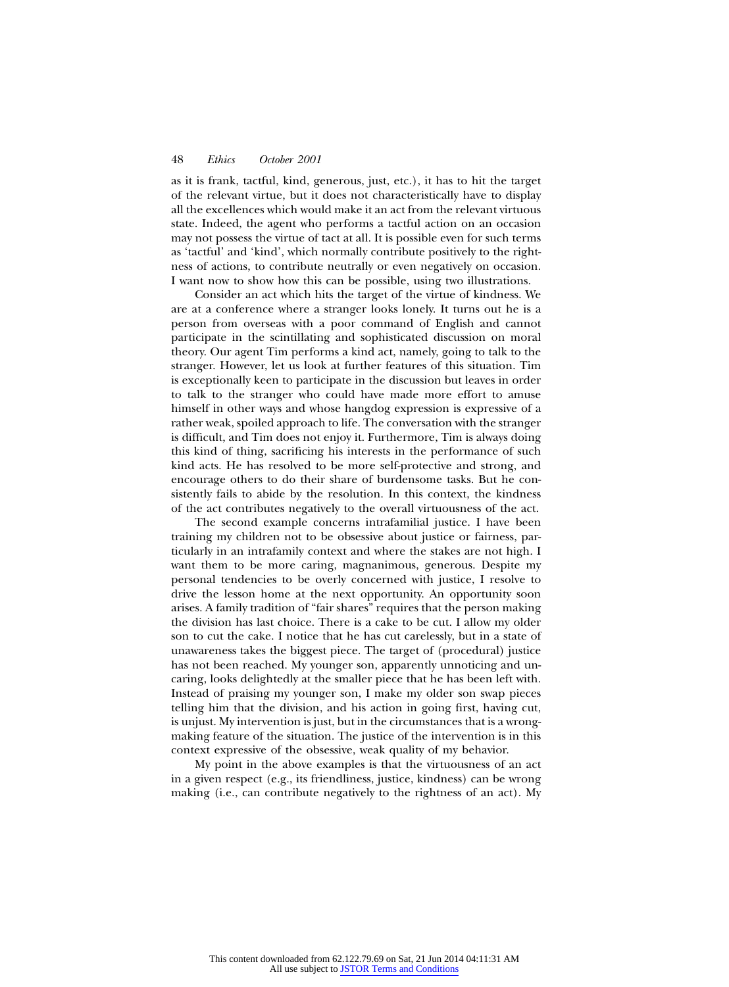as it is frank, tactful, kind, generous, just, etc.), it has to hit the target of the relevant virtue, but it does not characteristically have to display all the excellences which would make it an act from the relevant virtuous state. Indeed, the agent who performs a tactful action on an occasion may not possess the virtue of tact at all. It is possible even for such terms as 'tactful' and 'kind', which normally contribute positively to the rightness of actions, to contribute neutrally or even negatively on occasion. I want now to show how this can be possible, using two illustrations.

Consider an act which hits the target of the virtue of kindness. We are at a conference where a stranger looks lonely. It turns out he is a person from overseas with a poor command of English and cannot participate in the scintillating and sophisticated discussion on moral theory. Our agent Tim performs a kind act, namely, going to talk to the stranger. However, let us look at further features of this situation. Tim is exceptionally keen to participate in the discussion but leaves in order to talk to the stranger who could have made more effort to amuse himself in other ways and whose hangdog expression is expressive of a rather weak, spoiled approach to life. The conversation with the stranger is difficult, and Tim does not enjoy it. Furthermore, Tim is always doing this kind of thing, sacrificing his interests in the performance of such kind acts. He has resolved to be more self-protective and strong, and encourage others to do their share of burdensome tasks. But he consistently fails to abide by the resolution. In this context, the kindness of the act contributes negatively to the overall virtuousness of the act.

The second example concerns intrafamilial justice. I have been training my children not to be obsessive about justice or fairness, particularly in an intrafamily context and where the stakes are not high. I want them to be more caring, magnanimous, generous. Despite my personal tendencies to be overly concerned with justice, I resolve to drive the lesson home at the next opportunity. An opportunity soon arises. A family tradition of "fair shares" requires that the person making the division has last choice. There is a cake to be cut. I allow my older son to cut the cake. I notice that he has cut carelessly, but in a state of unawareness takes the biggest piece. The target of (procedural) justice has not been reached. My younger son, apparently unnoticing and uncaring, looks delightedly at the smaller piece that he has been left with. Instead of praising my younger son, I make my older son swap pieces telling him that the division, and his action in going first, having cut, is unjust. My intervention is just, but in the circumstances that is a wrongmaking feature of the situation. The justice of the intervention is in this context expressive of the obsessive, weak quality of my behavior.

My point in the above examples is that the virtuousness of an act in a given respect (e.g., its friendliness, justice, kindness) can be wrong making (i.e., can contribute negatively to the rightness of an act). My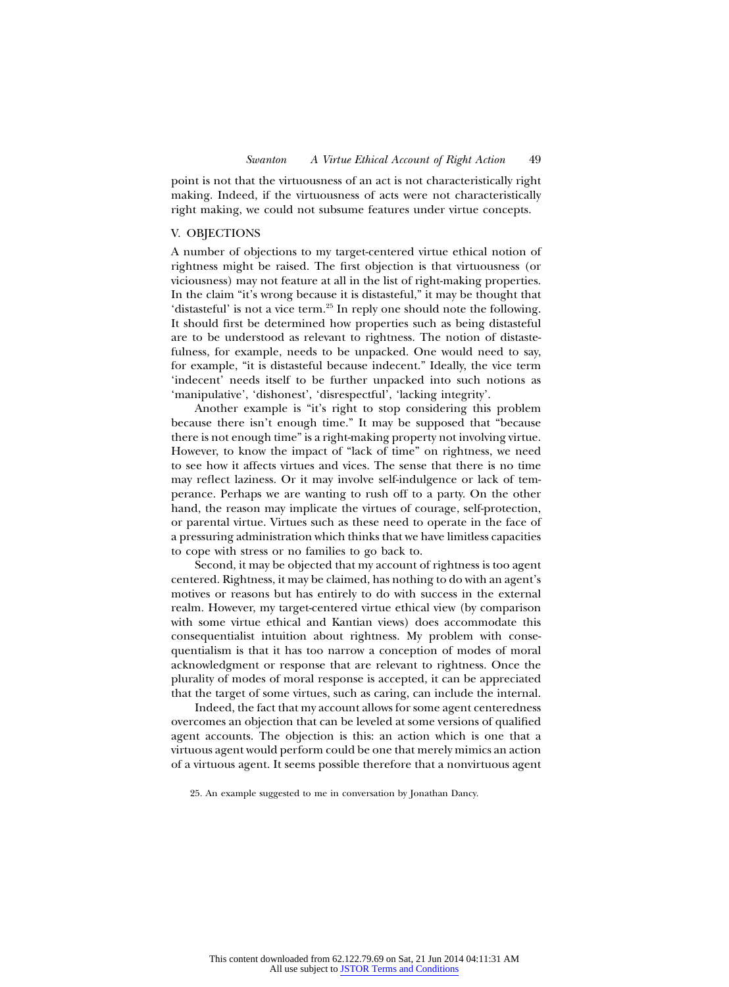point is not that the virtuousness of an act is not characteristically right making. Indeed, if the virtuousness of acts were not characteristically right making, we could not subsume features under virtue concepts.

#### V. OBJECTIONS

A number of objections to my target-centered virtue ethical notion of rightness might be raised. The first objection is that virtuousness (or viciousness) may not feature at all in the list of right-making properties. In the claim "it's wrong because it is distasteful," it may be thought that 'distasteful' is not a vice term.<sup>25</sup> In reply one should note the following. It should first be determined how properties such as being distasteful are to be understood as relevant to rightness. The notion of distastefulness, for example, needs to be unpacked. One would need to say, for example, "it is distasteful because indecent." Ideally, the vice term 'indecent' needs itself to be further unpacked into such notions as 'manipulative', 'dishonest', 'disrespectful', 'lacking integrity'.

Another example is "it's right to stop considering this problem because there isn't enough time." It may be supposed that "because there is not enough time" is a right-making property not involving virtue. However, to know the impact of "lack of time" on rightness, we need to see how it affects virtues and vices. The sense that there is no time may reflect laziness. Or it may involve self-indulgence or lack of temperance. Perhaps we are wanting to rush off to a party. On the other hand, the reason may implicate the virtues of courage, self-protection, or parental virtue. Virtues such as these need to operate in the face of a pressuring administration which thinks that we have limitless capacities to cope with stress or no families to go back to.

Second, it may be objected that my account of rightness is too agent centered. Rightness, it may be claimed, has nothing to do with an agent's motives or reasons but has entirely to do with success in the external realm. However, my target-centered virtue ethical view (by comparison with some virtue ethical and Kantian views) does accommodate this consequentialist intuition about rightness. My problem with consequentialism is that it has too narrow a conception of modes of moral acknowledgment or response that are relevant to rightness. Once the plurality of modes of moral response is accepted, it can be appreciated that the target of some virtues, such as caring, can include the internal.

Indeed, the fact that my account allows for some agent centeredness overcomes an objection that can be leveled at some versions of qualified agent accounts. The objection is this: an action which is one that a virtuous agent would perform could be one that merely mimics an action of a virtuous agent. It seems possible therefore that a nonvirtuous agent

25. An example suggested to me in conversation by Jonathan Dancy.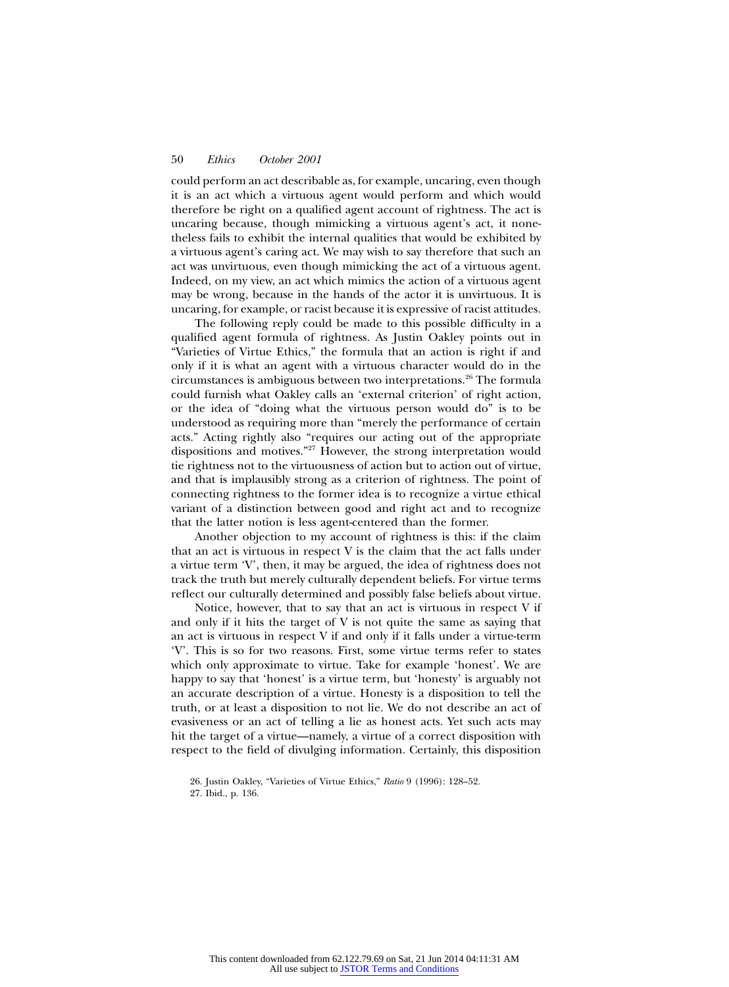could perform an act describable as, for example, uncaring, even though it is an act which a virtuous agent would perform and which would therefore be right on a qualified agent account of rightness. The act is uncaring because, though mimicking a virtuous agent's act, it nonetheless fails to exhibit the internal qualities that would be exhibited by a virtuous agent's caring act. We may wish to say therefore that such an act was unvirtuous, even though mimicking the act of a virtuous agent. Indeed, on my view, an act which mimics the action of a virtuous agent may be wrong, because in the hands of the actor it is unvirtuous. It is uncaring, for example, or racist because it is expressive of racist attitudes.

The following reply could be made to this possible difficulty in a qualified agent formula of rightness. As Justin Oakley points out in "Varieties of Virtue Ethics," the formula that an action is right if and only if it is what an agent with a virtuous character would do in the circumstances is ambiguous between two interpretations.<sup>26</sup> The formula could furnish what Oakley calls an 'external criterion' of right action, or the idea of "doing what the virtuous person would do" is to be understood as requiring more than "merely the performance of certain acts." Acting rightly also "requires our acting out of the appropriate dispositions and motives."<sup>27</sup> However, the strong interpretation would tie rightness not to the virtuousness of action but to action out of virtue, and that is implausibly strong as a criterion of rightness. The point of connecting rightness to the former idea is to recognize a virtue ethical variant of a distinction between good and right act and to recognize that the latter notion is less agent-centered than the former.

Another objection to my account of rightness is this: if the claim that an act is virtuous in respect V is the claim that the act falls under a virtue term 'V', then, it may be argued, the idea of rightness does not track the truth but merely culturally dependent beliefs. For virtue terms reflect our culturally determined and possibly false beliefs about virtue.

Notice, however, that to say that an act is virtuous in respect V if and only if it hits the target of V is not quite the same as saying that an act is virtuous in respect V if and only if it falls under a virtue-term 'V'. This is so for two reasons. First, some virtue terms refer to states which only approximate to virtue. Take for example 'honest'. We are happy to say that 'honest' is a virtue term, but 'honesty' is arguably not an accurate description of a virtue. Honesty is a disposition to tell the truth, or at least a disposition to not lie. We do not describe an act of evasiveness or an act of telling a lie as honest acts. Yet such acts may hit the target of a virtue—namely, a virtue of a correct disposition with respect to the field of divulging information. Certainly, this disposition

27. Ibid., p. 136.

<sup>26.</sup> Justin Oakley, "Varieties of Virtue Ethics," *Ratio* 9 (1996): 128–52.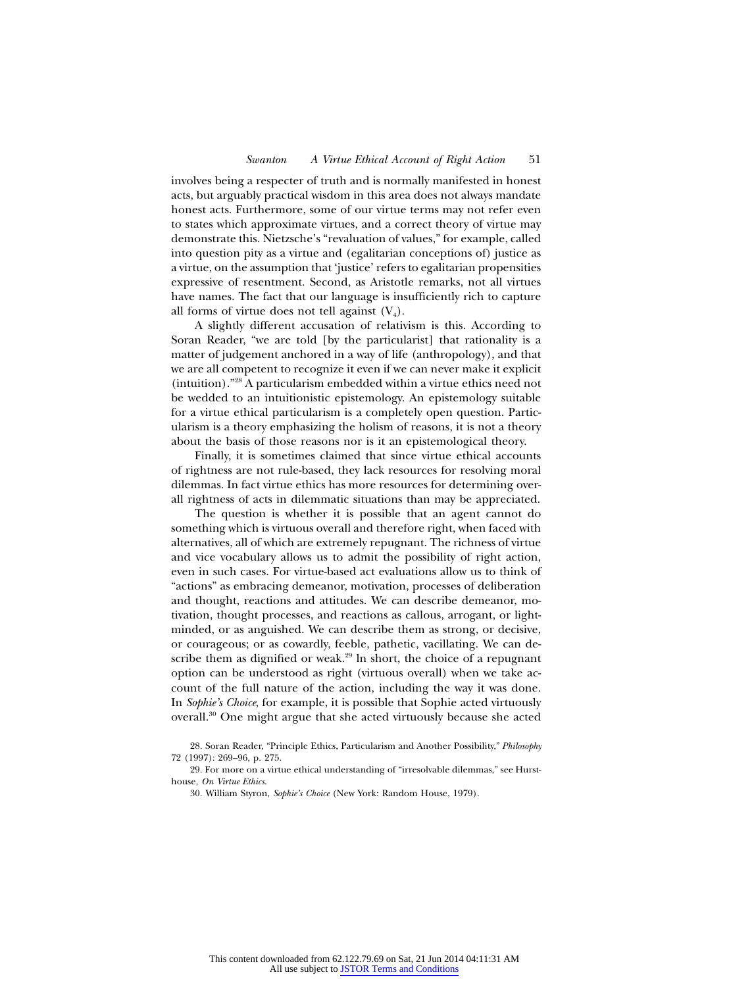involves being a respecter of truth and is normally manifested in honest acts, but arguably practical wisdom in this area does not always mandate honest acts. Furthermore, some of our virtue terms may not refer even to states which approximate virtues, and a correct theory of virtue may demonstrate this. Nietzsche's "revaluation of values," for example, called into question pity as a virtue and (egalitarian conceptions of) justice as a virtue, on the assumption that 'justice' refers to egalitarian propensities expressive of resentment. Second, as Aristotle remarks, not all virtues have names. The fact that our language is insufficiently rich to capture all forms of virtue does not tell against  $(V_4)$ .

A slightly different accusation of relativism is this. According to Soran Reader, "we are told [by the particularist] that rationality is a matter of judgement anchored in a way of life (anthropology), and that we are all competent to recognize it even if we can never make it explicit (intuition)."<sup>28</sup> A particularism embedded within a virtue ethics need not be wedded to an intuitionistic epistemology. An epistemology suitable for a virtue ethical particularism is a completely open question. Particularism is a theory emphasizing the holism of reasons, it is not a theory about the basis of those reasons nor is it an epistemological theory.

Finally, it is sometimes claimed that since virtue ethical accounts of rightness are not rule-based, they lack resources for resolving moral dilemmas. In fact virtue ethics has more resources for determining overall rightness of acts in dilemmatic situations than may be appreciated.

The question is whether it is possible that an agent cannot do something which is virtuous overall and therefore right, when faced with alternatives, all of which are extremely repugnant. The richness of virtue and vice vocabulary allows us to admit the possibility of right action, even in such cases. For virtue-based act evaluations allow us to think of "actions" as embracing demeanor, motivation, processes of deliberation and thought, reactions and attitudes. We can describe demeanor, motivation, thought processes, and reactions as callous, arrogant, or lightminded, or as anguished. We can describe them as strong, or decisive, or courageous; or as cowardly, feeble, pathetic, vacillating. We can describe them as dignified or weak. $29$  ln short, the choice of a repugnant option can be understood as right (virtuous overall) when we take account of the full nature of the action, including the way it was done. In *Sophie's Choice*, for example, it is possible that Sophie acted virtuously overall.<sup>30</sup> One might argue that she acted virtuously because she acted

<sup>28.</sup> Soran Reader, "Principle Ethics, Particularism and Another Possibility," *Philosophy* 72 (1997): 269–96, p. 275.

<sup>29.</sup> For more on a virtue ethical understanding of "irresolvable dilemmas," see Hursthouse, *On Virtue Ethics*.

<sup>30.</sup> William Styron, *Sophie's Choice* (New York: Random House, 1979).